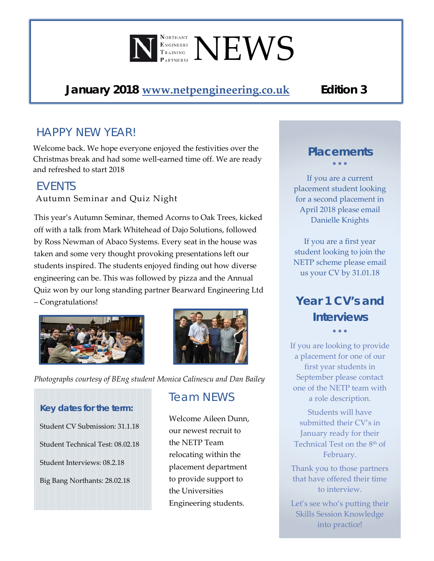# $\P^{\tiny\mbox{\tiny\rm{NorrHANT}}}_{\tiny\mbox{\tiny\rm{TRAINING}}} \mathbf{N}\mathbf{E}\mathbf{W}\mathbf{S}$

## *January 2018* **[www.netpengineering.co.uk](http://www.netpengineering.co.uk/)** *Edition 3*

## *HAPPY NEW YEAR!*

Welcome back. We hope everyone enjoyed the festivities over the Christmas break and had some well-earned time off. We are ready and refreshed to start 2018

#### *EVENTS*

Autumn Seminar and Quiz Night

This year's Autumn Seminar, themed Acorns to Oak Trees, kicked off with a talk from Mark Whitehead of Dajo Solutions, followed by Ross Newman of Abaco Systems. Every seat in the house was taken and some very thought provoking presentations left our students inspired. The students enjoyed finding out how diverse engineering can be. This was followed by pizza and the Annual Quiz won by our long standing partner Bearward Engineering Ltd – Congratulations!





*Photographs courtesy of BEng student Monica Calinescu and Dan Bailey*

# *Key dates for the term:*

Student CV Submission: 31.1.18 Student Technical Test: 08.02.18 Student Interviews: 08.2.18 Big Bang Northants: 28.02.18

## *Team NEWS*

Welcome Aileen Dunn, our newest recruit to the NETP Team relocating within the placement department to provide support to the Universities Engineering students.

### *Placements* • • •

If you are a current placement student looking for a second placement in April 2018 please email Danielle Knights

If you are a first year student looking to join the NETP scheme please email us your CV by 31.01.18

# *Year 1 CV's and Interviews*

• • •

If you are looking to provide a placement for one of our first year students in September please contact one of the NETP team with a role description.

Students will have submitted their CV's in January ready for their Technical Test on the 8<sup>th</sup> of February.

Thank you to those partners that have offered their time to interview.

Let's see who's putting their Skills Session Knowledge into practice!